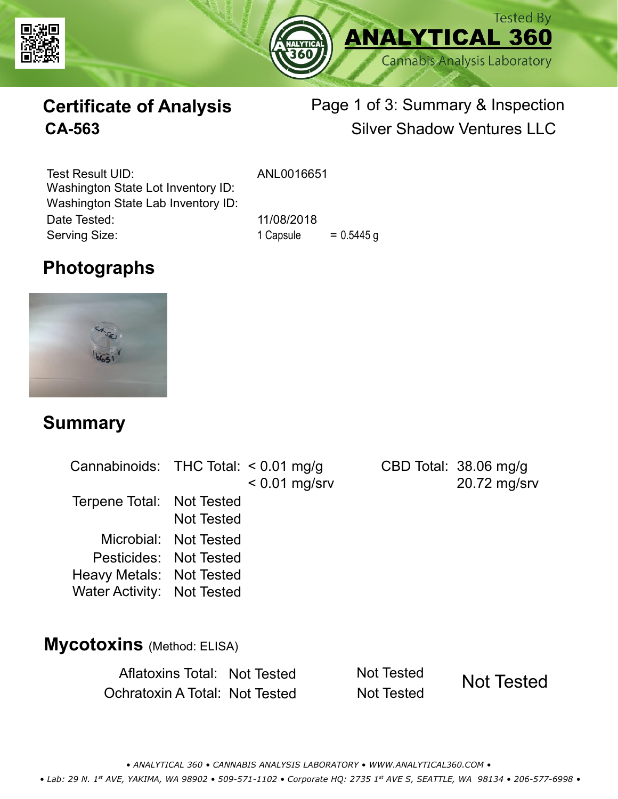



# **Certificate of Analysis**

# Page 1 of 3: Summary & Inspection **CA-563** Silver Shadow Ventures LLC

Serving Size: 1 Capsule = 0.5445 g Test Result UID: ANL0016651 Date Tested: 11/08/2018 Washington State Lot Inventory ID: Washington State Lab Inventory ID:

# **Photographs**



#### **Summary**

| Cannabinoids: THC Total: < 0.01 mg/g                                             |                       | $< 0.01$ mg/srv | CBD Total: $38.06 \text{ mg/g}$<br>20.72 mg/srv |
|----------------------------------------------------------------------------------|-----------------------|-----------------|-------------------------------------------------|
| Terpene Total: Not Tested                                                        | <b>Not Tested</b>     |                 |                                                 |
| Pesticides: Not Tested<br>Heavy Metals: Not Tested<br>Water Activity: Not Tested | Microbial: Not Tested |                 |                                                 |

#### **Mycotoxins** (Method: ELISA)

Aflatoxins Total: Not Tested Not Tested Ochratoxin A Total: Not Tested Not Tested

Not Tested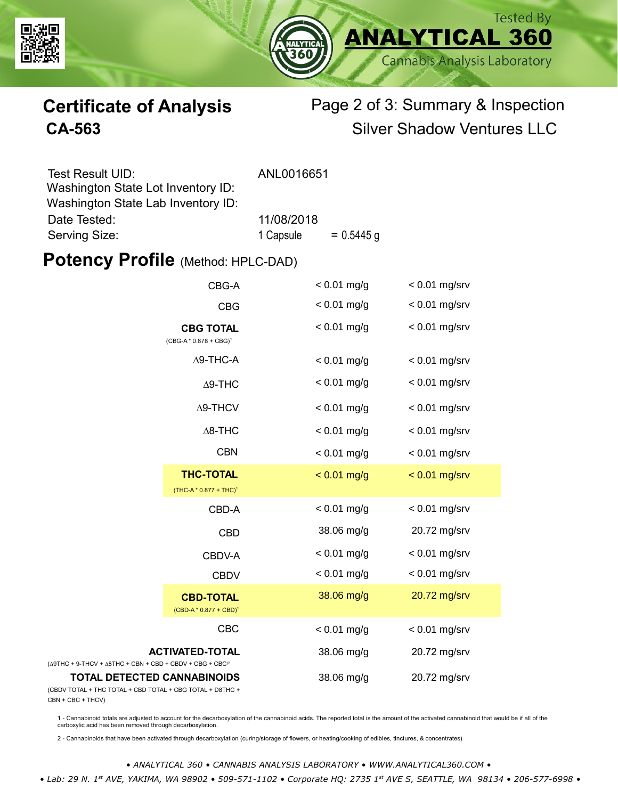



# **Certificate of Analysis** Page 2 of 3: Summary & Inspection **CA-563** Silver Shadow Ventures LLC

| Test Result UID:                   | ANL0016651 |              |
|------------------------------------|------------|--------------|
| Washington State Lot Inventory ID: |            |              |
| Washington State Lab Inventory ID: |            |              |
| Date Tested:                       | 11/08/2018 |              |
| Serving Size:                      | 1 Capsule  | $= 0.5445$ g |

#### **Potency Profile (Method: HPLC-DAD)**

|                                                                                                   | CBG-A                                                  | $< 0.01$ mg/g | $< 0.01$ mg/srv |
|---------------------------------------------------------------------------------------------------|--------------------------------------------------------|---------------|-----------------|
|                                                                                                   | <b>CBG</b>                                             | $< 0.01$ mg/g | $< 0.01$ mg/srv |
|                                                                                                   | <b>CBG TOTAL</b><br>$(CBG-A * 0.878 + CBG)^1$          | $< 0.01$ mg/g | $< 0.01$ mg/srv |
|                                                                                                   | $\Delta$ 9-THC-A                                       | $< 0.01$ mg/g | $< 0.01$ mg/srv |
|                                                                                                   | $\Delta$ 9-THC                                         | $< 0.01$ mg/g | $< 0.01$ mg/srv |
|                                                                                                   | $\Delta$ 9-THCV                                        | $< 0.01$ mg/g | $< 0.01$ mg/srv |
|                                                                                                   | $\Delta$ 8-THC                                         | $< 0.01$ mg/g | $< 0.01$ mg/srv |
|                                                                                                   | <b>CBN</b>                                             | $< 0.01$ mg/g | $< 0.01$ mg/srv |
|                                                                                                   | <b>THC-TOTAL</b><br>(THC-A * 0.877 + THC) <sup>1</sup> | $< 0.01$ mg/g | $< 0.01$ mg/srv |
|                                                                                                   | CBD-A                                                  | $< 0.01$ mg/g | $< 0.01$ mg/srv |
|                                                                                                   | <b>CBD</b>                                             | 38.06 mg/g    | 20.72 mg/srv    |
|                                                                                                   | CBDV-A                                                 | $< 0.01$ mg/g | $< 0.01$ mg/srv |
|                                                                                                   | <b>CBDV</b>                                            | $< 0.01$ mg/g | $< 0.01$ mg/srv |
|                                                                                                   | <b>CBD-TOTAL</b><br>$(CBD-A * 0.877 + CBD)^1$          | 38.06 mg/g    | 20.72 mg/srv    |
|                                                                                                   | <b>CBC</b>                                             | $< 0.01$ mg/g | $< 0.01$ mg/srv |
| <b>ACTIVATED-TOTAL</b><br>$(\Delta 9THC + 9-THCV + \Delta 8THC + CBN + CBD + CBDV + CBG + CBC)^2$ |                                                        | 38.06 mg/g    | 20.72 mg/srv    |
| <b>TOTAL DETECTED CANNABINOIDS</b><br>(CBDV TOTAL + THC TOTAL + CBD TOTAL + CBG TOTAL + D8THC +   |                                                        | 38.06 mg/g    | 20.72 mg/srv    |

(CBDV TOTAL + THC TOTA CBN + CBC + THCV)

1 - Cannabinoid totals are adjusted to account for the decarboxylation of the cannabinoid acids. The reported total is the amount of the activated cannabinoid that would be if all of the<br>carboxylic acid has been removed th

2 - Cannabinoids that have been activated through decarboxylation (curing/storage of flowers, or heating/cooking of edibles, tinctures, & concentrates)

*• ANALYTICAL 360 • CANNABIS ANALYSIS LABORATORY • WWW.ANALYTICAL360.COM • • Lab: 29 N. 1st AVE, YAKIMA, WA 98902 • 509-571-1102 • Corporate HQ: 2735 1st AVE S, SEATTLE, WA 98134 • 206-577-6998 •*